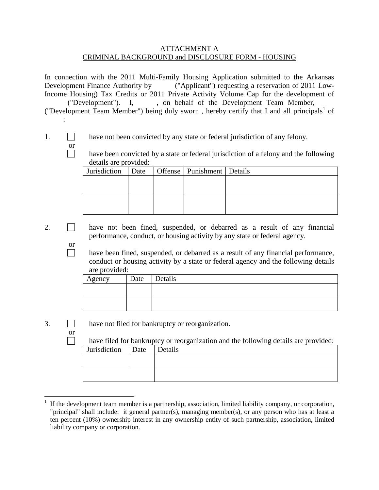## ATTACHMENT A CRIMINAL BACKGROUND and DISCLOSURE FORM - HOUSING

In connection with the 2011 Multi-Family Housing Application submitted to the Arkansas Development Finance Authority by ("Applicant") requesting a reservation of 2011 Low-Income Housing) Tax Credits or 2011 Private Activity Volume Cap for the development of ("Development"). I, on behalf of the Development Team Member,

("Development Team Member") being duly sworn , hereby certify that I and all principals <sup>1</sup> of :

- 1. have not been convicted by any state or federal jurisdiction of any felony.
	- $\frac{\text{or}}{\Box}$ have been convicted by a state or federal jurisdiction of a felony and the following details are provided:

| Jurisdiction   Date   Offense   Punishment   Details |  |  |
|------------------------------------------------------|--|--|
|                                                      |  |  |
|                                                      |  |  |
|                                                      |  |  |
|                                                      |  |  |

- 2. have not been fined, suspended, or debarred as a result of any financial performance, conduct, or housing activity by any state or federal agency.
	- $\frac{or}{\Box}$ have been fined, suspended, or debarred as a result of any financial performance, conduct or housing activity by a state or federal agency and the following details are provided:

| Agency | Date | Details |
|--------|------|---------|
|        |      |         |
|        |      |         |
|        |      |         |

or

 $\Box$ 

3. have not filed for bankruptcy or reorganization.

have filed for bankruptcy or reorganization and the following details are provided:

| Jurisdiction   Date   Details |  |
|-------------------------------|--|
|                               |  |
|                               |  |
|                               |  |
|                               |  |

 <sup>1</sup> If the development team member is a partnership, association, limited liability company, or corporation, "principal" shall include: it general partner(s), managing member(s), or any person who has at least a ten percent (10%) ownership interest in any ownership entity of such partnership, association, limited liability company or corporation.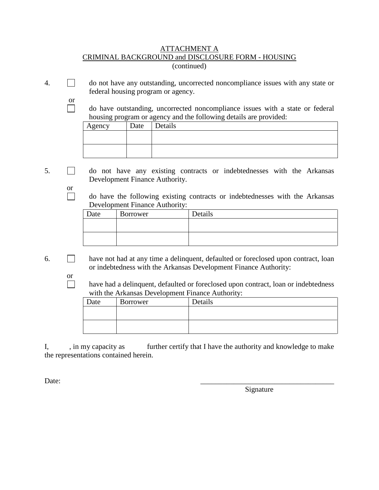## ATTACHMENT A CRIMINAL BACKGROUND and DISCLOSURE FORM - HOUSING (continued)

4. do not have any outstanding, uncorrected noncompliance issues with any state or federal housing program or agency.

> do have outstanding, uncorrected noncompliance issues with a state or federal housing program or agency and the following details are provided:

| ں 1 ت<br>Agency | Date | Details |
|-----------------|------|---------|
|                 |      |         |
|                 |      |         |
|                 |      |         |

5. do not have any existing contracts or indebtednesses with the Arkansas Development Finance Authority.

> do have the following existing contracts or indebtednesses with the Arkansas Development Finance Authority:

| Date | Borrower | Details |
|------|----------|---------|
|      |          |         |
|      |          |         |
|      |          |         |

 $6.$  have not had at any time a delinquent, defaulted or foreclosed upon contract, loan or indebtedness with the Arkansas Development Finance Authority:

> have had a delinquent, defaulted or foreclosed upon contract, loan or indebtedness with the Arkansas Development Finance Authority:

| Date | Borrower | Details |
|------|----------|---------|
|      |          |         |
|      |          |         |
|      |          |         |

I, in my capacity as further certify that I have the authority and knowledge to make the representations contained herein.

Date:

or

or

 $\Box$ 

or

Signature